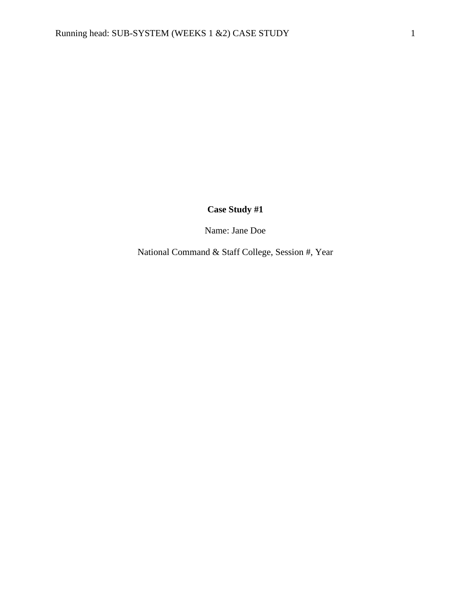# **Case Study #1**

Name: Jane Doe

National Command & Staff College, Session #, Year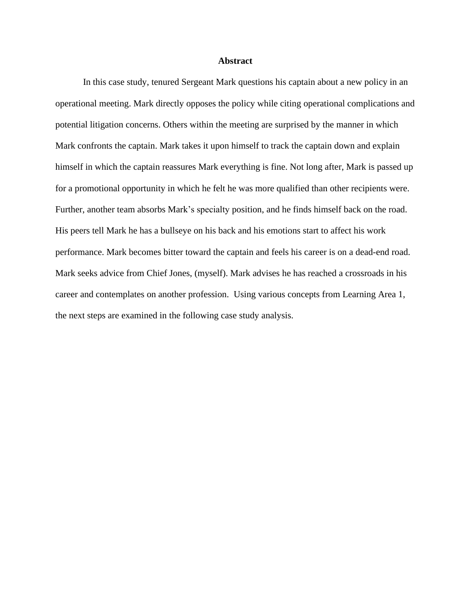#### **Abstract**

In this case study, tenured Sergeant Mark questions his captain about a new policy in an operational meeting. Mark directly opposes the policy while citing operational complications and potential litigation concerns. Others within the meeting are surprised by the manner in which Mark confronts the captain. Mark takes it upon himself to track the captain down and explain himself in which the captain reassures Mark everything is fine. Not long after, Mark is passed up for a promotional opportunity in which he felt he was more qualified than other recipients were. Further, another team absorbs Mark's specialty position, and he finds himself back on the road. His peers tell Mark he has a bullseye on his back and his emotions start to affect his work performance. Mark becomes bitter toward the captain and feels his career is on a dead-end road. Mark seeks advice from Chief Jones, (myself). Mark advises he has reached a crossroads in his career and contemplates on another profession. Using various concepts from Learning Area 1, the next steps are examined in the following case study analysis.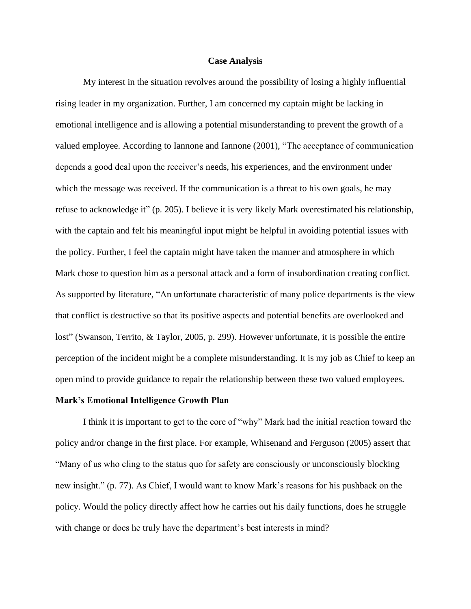### **Case Analysis**

My interest in the situation revolves around the possibility of losing a highly influential rising leader in my organization. Further, I am concerned my captain might be lacking in emotional intelligence and is allowing a potential misunderstanding to prevent the growth of a valued employee. According to Iannone and Iannone (2001), "The acceptance of communication depends a good deal upon the receiver's needs, his experiences, and the environment under which the message was received. If the communication is a threat to his own goals, he may refuse to acknowledge it" (p. 205). I believe it is very likely Mark overestimated his relationship, with the captain and felt his meaningful input might be helpful in avoiding potential issues with the policy. Further, I feel the captain might have taken the manner and atmosphere in which Mark chose to question him as a personal attack and a form of insubordination creating conflict. As supported by literature, "An unfortunate characteristic of many police departments is the view that conflict is destructive so that its positive aspects and potential benefits are overlooked and lost" (Swanson, Territo, & Taylor, 2005, p. 299). However unfortunate, it is possible the entire perception of the incident might be a complete misunderstanding. It is my job as Chief to keep an open mind to provide guidance to repair the relationship between these two valued employees.

#### **Mark's Emotional Intelligence Growth Plan**

I think it is important to get to the core of "why" Mark had the initial reaction toward the policy and/or change in the first place. For example, Whisenand and Ferguson (2005) assert that "Many of us who cling to the status quo for safety are consciously or unconsciously blocking new insight." (p. 77). As Chief, I would want to know Mark's reasons for his pushback on the policy. Would the policy directly affect how he carries out his daily functions, does he struggle with change or does he truly have the department's best interests in mind?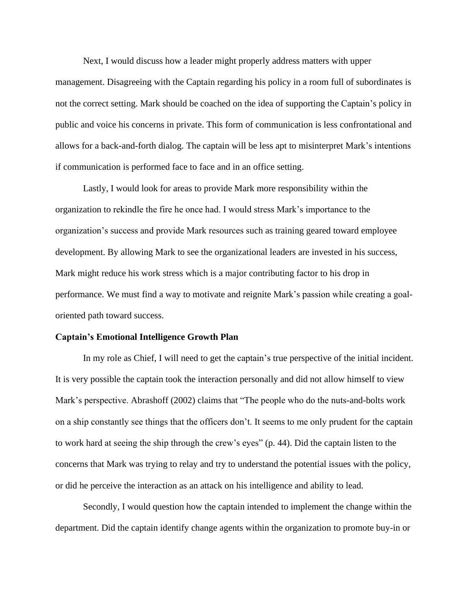Next, I would discuss how a leader might properly address matters with upper management. Disagreeing with the Captain regarding his policy in a room full of subordinates is not the correct setting. Mark should be coached on the idea of supporting the Captain's policy in public and voice his concerns in private. This form of communication is less confrontational and allows for a back-and-forth dialog. The captain will be less apt to misinterpret Mark's intentions if communication is performed face to face and in an office setting.

Lastly, I would look for areas to provide Mark more responsibility within the organization to rekindle the fire he once had. I would stress Mark's importance to the organization's success and provide Mark resources such as training geared toward employee development. By allowing Mark to see the organizational leaders are invested in his success, Mark might reduce his work stress which is a major contributing factor to his drop in performance. We must find a way to motivate and reignite Mark's passion while creating a goaloriented path toward success.

#### **Captain's Emotional Intelligence Growth Plan**

In my role as Chief, I will need to get the captain's true perspective of the initial incident. It is very possible the captain took the interaction personally and did not allow himself to view Mark's perspective. Abrashoff (2002) claims that "The people who do the nuts-and-bolts work on a ship constantly see things that the officers don't. It seems to me only prudent for the captain to work hard at seeing the ship through the crew's eyes" (p. 44). Did the captain listen to the concerns that Mark was trying to relay and try to understand the potential issues with the policy, or did he perceive the interaction as an attack on his intelligence and ability to lead.

Secondly, I would question how the captain intended to implement the change within the department. Did the captain identify change agents within the organization to promote buy-in or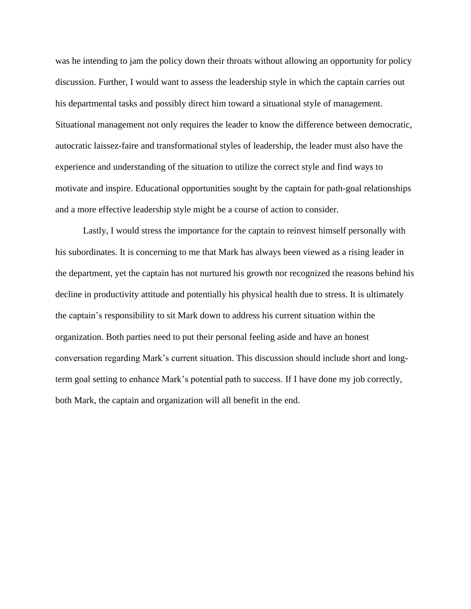was he intending to jam the policy down their throats without allowing an opportunity for policy discussion. Further, I would want to assess the leadership style in which the captain carries out his departmental tasks and possibly direct him toward a situational style of management. Situational management not only requires the leader to know the difference between democratic, autocratic laissez-faire and transformational styles of leadership, the leader must also have the experience and understanding of the situation to utilize the correct style and find ways to motivate and inspire. Educational opportunities sought by the captain for path-goal relationships and a more effective leadership style might be a course of action to consider.

Lastly, I would stress the importance for the captain to reinvest himself personally with his subordinates. It is concerning to me that Mark has always been viewed as a rising leader in the department, yet the captain has not nurtured his growth nor recognized the reasons behind his decline in productivity attitude and potentially his physical health due to stress. It is ultimately the captain's responsibility to sit Mark down to address his current situation within the organization. Both parties need to put their personal feeling aside and have an honest conversation regarding Mark's current situation. This discussion should include short and longterm goal setting to enhance Mark's potential path to success. If I have done my job correctly, both Mark, the captain and organization will all benefit in the end.